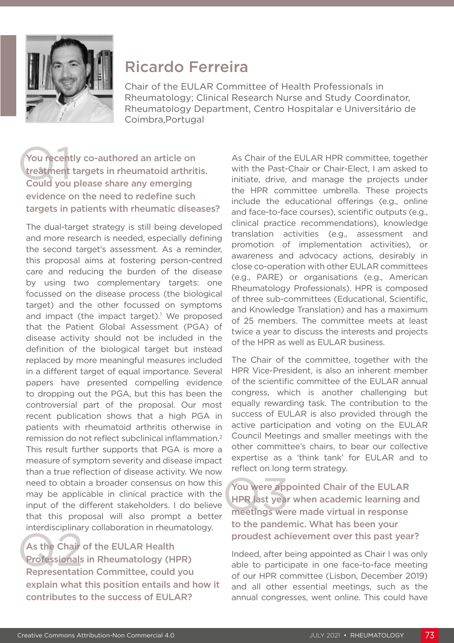

# Ricardo Ferreira

Chair of the EULAR Committee of Health Professionals in Rheumatology; Clinical Research Nurse and Study Coordinator, Rheumatology Department, Centro Hospitalar e Universitário de Coimbra,Portugal

## You recent<br>treatment<br>Could you You recently co-authored an article on treatment targets in rheumatoid arthritis. Could you please share any emerging evidence on the need to redefine such targets in patients with rheumatic diseases?

The dual-target strategy is still being developed and more research is needed, especially defining the second target's assessment. As a reminder, this proposal aims at fostering person-centred care and reducing the burden of the disease by using two complementary targets: one focussed on the disease process (the biological target) and the other focussed on symptoms and impact (the impact target).<sup>1</sup> We proposed that the Patient Global Assessment (PGA) of disease activity should not be included in the definition of the biological target but instead replaced by more meaningful measures included in a different target of equal importance. Several papers have presented compelling evidence to dropping out the PGA, but this has been the controversial part of the proposal. Our most recent publication shows that a high PGA in patients with rheumatoid arthritis otherwise in remission do not reflect subclinical inflammation.2 This result further supports that PGA is more a measure of symptom severity and disease impact than a true reflection of disease activity. We now need to obtain a broader consensus on how this may be applicable in clinical practice with the input of the different stakeholders. I do believe that this proposal will also prompt a better interdisciplinary collaboration in rheumatology.

As the Chair<br>Professionals<br>Representation As the Chair of the EULAR Health Professionals in Rheumatology (HPR) Representation Committee, could you explain what this position entails and how it contributes to the success of EULAR?

As Chair of the EULAR HPR committee, together with the Past-Chair or Chair-Elect, I am asked to initiate, drive, and manage the projects under the HPR committee umbrella. These projects include the educational offerings (e.g., online and face-to-face courses), scientific outputs (e.g., clinical practice recommendations), knowledge translation activities (e.g., assessment and promotion of implementation activities), or awareness and advocacy actions, desirably in close co-operation with other EULAR committees (e.g., PARE) or organisations (e.g., American Rheumatology Professionals). HPR is composed of three sub-committees (Educational, Scientific, and Knowledge Translation) and has a maximum of 25 members. The committee meets at least twice a year to discuss the interests and projects of the HPR as well as EULAR business.

The Chair of the committee, together with the HPR Vice-President, is also an inherent member of the scientific committee of the EULAR annual congress, which is another challenging but equally rewarding task. The contribution to the success of EULAR is also provided through the active participation and voting on the EULAR Council Meetings and smaller meetings with the other committee's chairs, to bear our collective expertise as a 'think tank' for EULAR and to reflect on long term strategy.

You were app<br>HPR last year<br>meetings we You were appointed Chair of the EULAR HPR last year when academic learning and meetings were made virtual in response to the pandemic. What has been your proudest achievement over this past year?

Indeed, after being appointed as Chair I was only able to participate in one face-to-face meeting of our HPR committee (Lisbon, December 2019) and all other essential meetings, such as the annual congresses, went online. This could have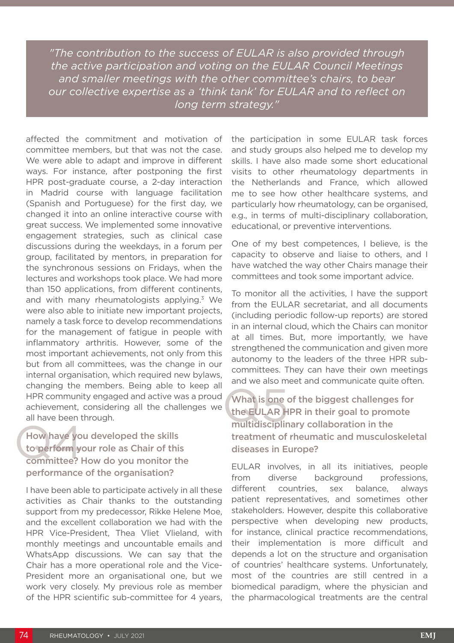*"The contribution to the success of EULAR is also provided through the active participation and voting on the EULAR Council Meetings and smaller meetings with the other committee's chairs, to bear our collective expertise as a 'think tank' for EULAR and to reflect on long term strategy."*

affected the commitment and motivation of committee members, but that was not the case. We were able to adapt and improve in different ways. For instance, after postponing the first HPR post-graduate course, a 2-day interaction in Madrid course with language facilitation (Spanish and Portuguese) for the first day, we changed it into an online interactive course with great success. We implemented some innovative engagement strategies, such as clinical case discussions during the weekdays, in a forum per group, facilitated by mentors, in preparation for the synchronous sessions on Fridays, when the lectures and workshops took place. We had more than 150 applications, from different continents, and with many rheumatologists applying.<sup>3</sup> We were also able to initiate new important projects, namely a task force to develop recommendations for the management of fatigue in people with inflammatory arthritis. However, some of the most important achievements, not only from this but from all committees, was the change in our internal organisation, which required new bylaws, changing the members. Being able to keep all HPR community engaged and active was a proud achievement, considering all the challenges we all have been through.

How have you How have you developed the skills to perform your role as Chair of this committee? How do you monitor the performance of the organisation?

I have been able to participate actively in all these activities as Chair thanks to the outstanding support from my predecessor, Rikke Helene Moe, and the excellent collaboration we had with the HPR Vice-President, Thea Vliet Vlieland, with monthly meetings and uncountable emails and WhatsApp discussions. We can say that the Chair has a more operational role and the Vice-President more an organisational one, but we work very closely. My previous role as member of the HPR scientific sub-committee for 4 years, the participation in some EULAR task forces and study groups also helped me to develop my skills. I have also made some short educational visits to other rheumatology departments in the Netherlands and France, which allowed me to see how other healthcare systems, and particularly how rheumatology, can be organised, e.g., in terms of multi-disciplinary collaboration, educational, or preventive interventions.

One of my best competences, I believe, is the capacity to observe and liaise to others, and I have watched the way other Chairs manage their committees and took some important advice.

To monitor all the activities, I have the support from the EULAR secretariat, and all documents (including periodic follow-up reports) are stored in an internal cloud, which the Chairs can monitor at all times. But, more importantly, we have strengthened the communication and given more autonomy to the leaders of the three HPR subcommittees. They can have their own meetings and we also meet and communicate quite often.

What is one<br>the EULAR H<br>multidisciplir What is one of the biggest challenges for the EULAR HPR in their goal to promote multidisciplinary collaboration in the treatment of rheumatic and musculoskeletal diseases in Europe?

EULAR involves, in all its initiatives, people from diverse background professions, different countries, sex balance, always patient representatives, and sometimes other stakeholders. However, despite this collaborative perspective when developing new products, for instance, clinical practice recommendations, their implementation is more difficult and depends a lot on the structure and organisation of countries' healthcare systems. Unfortunately, most of the countries are still centred in a biomedical paradigm, where the physician and the pharmacological treatments are the central